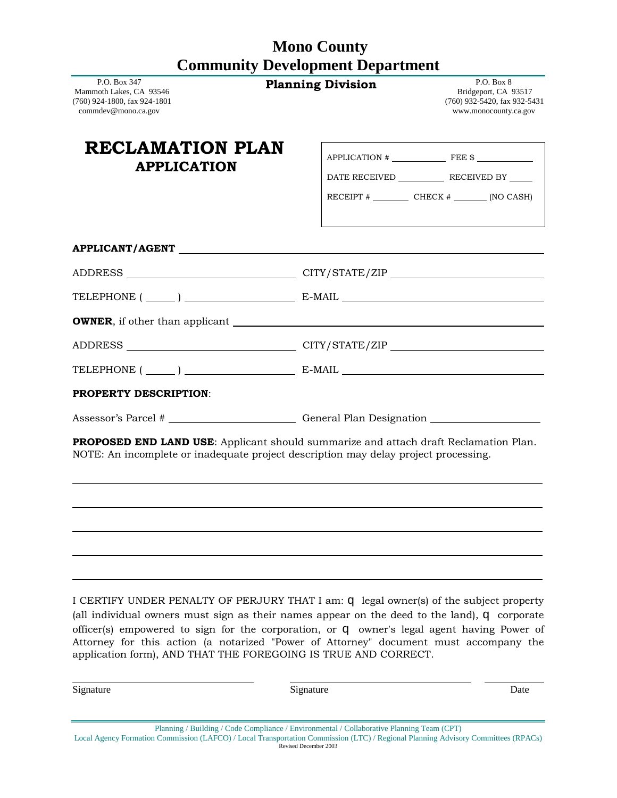# **Mono County Community Development Department**

| P.O. Box 347<br>Mammoth Lakes, CA 93546<br>(760) 924-1800, fax 924-1801<br>commdev@mono.ca.gov                                                                                                | <b>Planning Division</b> | P.O. Box 8<br>Bridgeport, CA 93517<br>(760) 932-5420, fax 932-5431<br>www.monocounty.ca.gov |
|-----------------------------------------------------------------------------------------------------------------------------------------------------------------------------------------------|--------------------------|---------------------------------------------------------------------------------------------|
| RECLAMATION PLAN<br><b>APPLICATION</b>                                                                                                                                                        |                          | $APPLICATION$ # FEE $$$ FEE $$$<br>RECEIPT $\#$ CHECK $\#$ (NO CASH)                        |
|                                                                                                                                                                                               |                          |                                                                                             |
|                                                                                                                                                                                               |                          |                                                                                             |
| TELEPHONE $(\_\_)$ $\_\_$ E-MAIL $\_\_$                                                                                                                                                       |                          |                                                                                             |
|                                                                                                                                                                                               |                          |                                                                                             |
|                                                                                                                                                                                               |                          |                                                                                             |
| TELEPHONE $(\_\_)$ $\_\_$ E-MAIL $\_\_$                                                                                                                                                       |                          |                                                                                             |
| <b>PROPERTY DESCRIPTION:</b>                                                                                                                                                                  |                          |                                                                                             |
| Assessor's Parcel # _______________________________General Plan Designation _______________________                                                                                           |                          |                                                                                             |
| <b>PROPOSED END LAND USE:</b> Applicant should summarize and attach draft Reclamation Plan.<br>NOTE: An incomplete or inadequate project description may delay project processing.            |                          |                                                                                             |
| I CERTIFY UNDER PENALTY OF PERJURY THAT I am: <b>q</b> legal owner(s) of the subject property<br>(all individual owners must sign as their names appear on the deed to the land), q corporate |                          |                                                                                             |

officer(s) empowered to sign for the corporation, or q owner's legal agent having Power of Attorney for this action (a notarized "Power of Attorney" document must accompany the application form), AND THAT THE FOREGOING IS TRUE AND CORRECT.

Signature Date Date Date Signature Signature Date Date

| Planning / Building / Code Compliance / Environmental / Collaborative Planning Team (CPT)                                         |
|-----------------------------------------------------------------------------------------------------------------------------------|
| Local Agency Formation Commission (LAFCO) / Local Transportation Commission (LTC) / Regional Planning Advisory Committees (RPACs) |
| Revised December 2003                                                                                                             |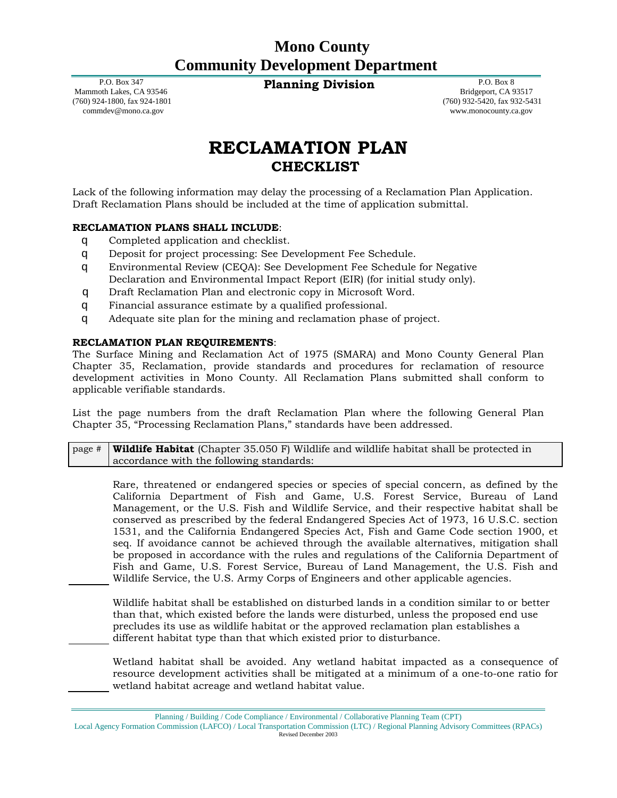# **Mono County Community Development Department**

**Planning Division** P.O. Box 8

 P.O. Box 347 Mammoth Lakes, CA 93546 (760) 924-1800, fax 924-1801 commdev@mono.ca.gov

 Bridgeport, CA 93517 (760) 932-5420, fax 932-5431 www.monocounty.ca.gov

# **RECLAMATION PLAN CHECKLIST**

Lack of the following information may delay the processing of a Reclamation Plan Application. Draft Reclamation Plans should be included at the time of application submittal.

#### **RECLAMATION PLANS SHALL INCLUDE**:

- q Completed application and checklist.
- q Deposit for project processing: See Development Fee Schedule.
- q Environmental Review (CEQA): See Development Fee Schedule for Negative Declaration and Environmental Impact Report (EIR) (for initial study only).
- q Draft Reclamation Plan and electronic copy in Microsoft Word.
- q Financial assurance estimate by a qualified professional.
- q Adequate site plan for the mining and reclamation phase of project.

#### **RECLAMATION PLAN REQUIREMENTS**:

The Surface Mining and Reclamation Act of 1975 (SMARA) and Mono County General Plan Chapter 35, Reclamation, provide standards and procedures for reclamation of resource development activities in Mono County. All Reclamation Plans submitted shall conform to applicable verifiable standards.

List the page numbers from the draft Reclamation Plan where the following General Plan Chapter 35, "Processing Reclamation Plans," standards have been addressed.

page # **Wildlife Habitat** (Chapter 35.050 F) Wildlife and wildlife habitat shall be protected in accordance with the following standards:

Rare, threatened or endangered species or species of special concern, as defined by the California Department of Fish and Game, U.S. Forest Service, Bureau of Land Management, or the U.S. Fish and Wildlife Service, and their respective habitat shall be conserved as prescribed by the federal Endangered Species Act of 1973, 16 U.S.C. section 1531, and the California Endangered Species Act, Fish and Game Code section 1900, et seq. If avoidance cannot be achieved through the available alternatives, mitigation shall be proposed in accordance with the rules and regulations of the California Department of Fish and Game, U.S. Forest Service, Bureau of Land Management, the U.S. Fish and Wildlife Service, the U.S. Army Corps of Engineers and other applicable agencies.

Wildlife habitat shall be established on disturbed lands in a condition similar to or better than that, which existed before the lands were disturbed, unless the proposed end use precludes its use as wildlife habitat or the approved reclamation plan establishes a different habitat type than that which existed prior to disturbance.

Wetland habitat shall be avoided. Any wetland habitat impacted as a consequence of resource development activities shall be mitigated at a minimum of a one-to-one ratio for wetland habitat acreage and wetland habitat value.

Planning / Building / Code Compliance / Environmental / Collaborative Planning Team (CPT)

Local Agency Formation Commission (LAFCO) / Local Transportation Commission (LTC) / Regional Planning Advisory Committees (RPACs) Revised December 2003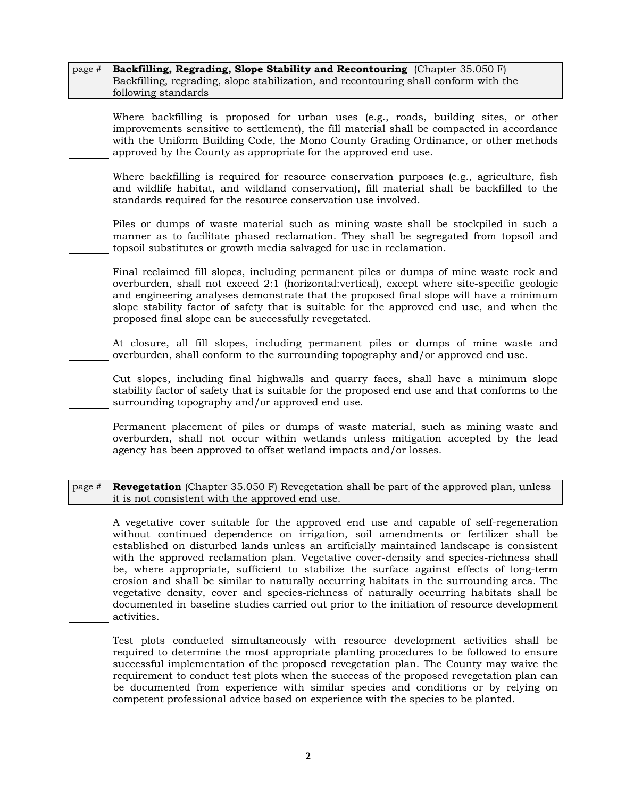| page # Backfilling, Regrading, Slope Stability and Recontouring (Chapter 35.050 F)   |
|--------------------------------------------------------------------------------------|
| Backfilling, regrading, slope stabilization, and recontouring shall conform with the |
| following standards                                                                  |

Where backfilling is proposed for urban uses (e.g., roads, building sites, or other improvements sensitive to settlement), the fill material shall be compacted in accordance with the Uniform Building Code, the Mono County Grading Ordinance, or other methods approved by the County as appropriate for the approved end use.

Where backfilling is required for resource conservation purposes (e.g., agriculture, fish and wildlife habitat, and wildland conservation), fill material shall be backfilled to the standards required for the resource conservation use involved.

Piles or dumps of waste material such as mining waste shall be stockpiled in such a manner as to facilitate phased reclamation. They shall be segregated from topsoil and topsoil substitutes or growth media salvaged for use in reclamation.

Final reclaimed fill slopes, including permanent piles or dumps of mine waste rock and overburden, shall not exceed 2:1 (horizontal:vertical), except where site-specific geologic and engineering analyses demonstrate that the proposed final slope will have a minimum slope stability factor of safety that is suitable for the approved end use, and when the proposed final slope can be successfully revegetated.

At closure, all fill slopes, including permanent piles or dumps of mine waste and overburden, shall conform to the surrounding topography and/or approved end use.

Cut slopes, including final highwalls and quarry faces, shall have a minimum slope stability factor of safety that is suitable for the proposed end use and that conforms to the surrounding topography and/or approved end use.

Permanent placement of piles or dumps of waste material, such as mining waste and overburden, shall not occur within wetlands unless mitigation accepted by the lead agency has been approved to offset wetland impacts and/or losses.

page # **Revegetation** (Chapter 35.050 F) Revegetation shall be part of the approved plan, unless it is not consistent with the approved end use.

A vegetative cover suitable for the approved end use and capable of self-regeneration without continued dependence on irrigation, soil amendments or fertilizer shall be established on disturbed lands unless an artificially maintained landscape is consistent with the approved reclamation plan. Vegetative cover-density and species-richness shall be, where appropriate, sufficient to stabilize the surface against effects of long-term erosion and shall be similar to naturally occurring habitats in the surrounding area. The vegetative density, cover and species-richness of naturally occurring habitats shall be documented in baseline studies carried out prior to the initiation of resource development activities.

Test plots conducted simultaneously with resource development activities shall be required to determine the most appropriate planting procedures to be followed to ensure successful implementation of the proposed revegetation plan. The County may waive the requirement to conduct test plots when the success of the proposed revegetation plan can be documented from experience with similar species and conditions or by relying on competent professional advice based on experience with the species to be planted.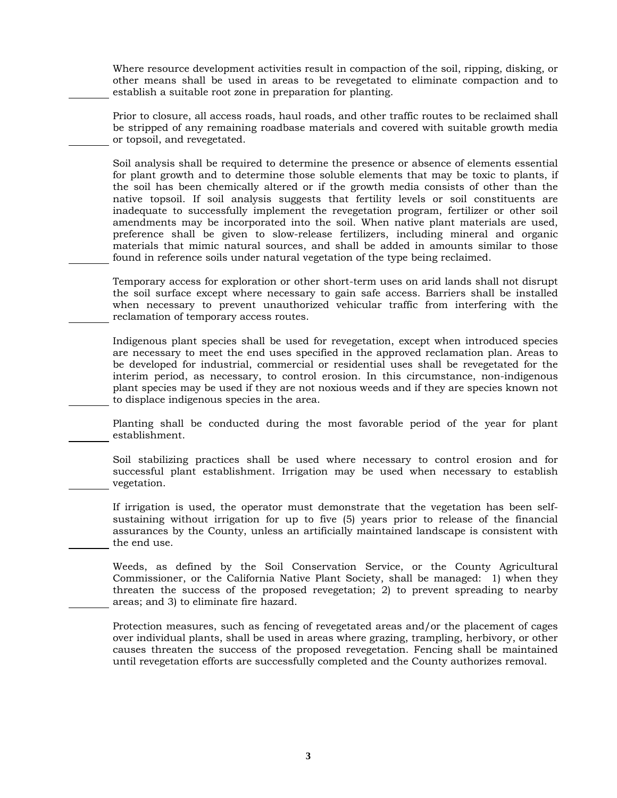Where resource development activities result in compaction of the soil, ripping, disking, or other means shall be used in areas to be revegetated to eliminate compaction and to establish a suitable root zone in preparation for planting.

Prior to closure, all access roads, haul roads, and other traffic routes to be reclaimed shall be stripped of any remaining roadbase materials and covered with suitable growth media or topsoil, and revegetated.

Soil analysis shall be required to determine the presence or absence of elements essential for plant growth and to determine those soluble elements that may be toxic to plants, if the soil has been chemically altered or if the growth media consists of other than the native topsoil. If soil analysis suggests that fertility levels or soil constituents are inadequate to successfully implement the revegetation program, fertilizer or other soil amendments may be incorporated into the soil. When native plant materials are used, preference shall be given to slow-release fertilizers, including mineral and organic materials that mimic natural sources, and shall be added in amounts similar to those found in reference soils under natural vegetation of the type being reclaimed.

Temporary access for exploration or other short-term uses on arid lands shall not disrupt the soil surface except where necessary to gain safe access. Barriers shall be installed when necessary to prevent unauthorized vehicular traffic from interfering with the reclamation of temporary access routes.

Indigenous plant species shall be used for revegetation, except when introduced species are necessary to meet the end uses specified in the approved reclamation plan. Areas to be developed for industrial, commercial or residential uses shall be revegetated for the interim period, as necessary, to control erosion. In this circumstance, non-indigenous plant species may be used if they are not noxious weeds and if they are species known not to displace indigenous species in the area.

Planting shall be conducted during the most favorable period of the year for plant establishment.

Soil stabilizing practices shall be used where necessary to control erosion and for successful plant establishment. Irrigation may be used when necessary to establish vegetation.

If irrigation is used, the operator must demonstrate that the vegetation has been selfsustaining without irrigation for up to five (5) years prior to release of the financial assurances by the County, unless an artificially maintained landscape is consistent with the end use.

Weeds, as defined by the Soil Conservation Service, or the County Agricultural Commissioner, or the California Native Plant Society, shall be managed: 1) when they threaten the success of the proposed revegetation; 2) to prevent spreading to nearby areas; and 3) to eliminate fire hazard.

Protection measures, such as fencing of revegetated areas and/or the placement of cages over individual plants, shall be used in areas where grazing, trampling, herbivory, or other causes threaten the success of the proposed revegetation. Fencing shall be maintained until revegetation efforts are successfully completed and the County authorizes removal.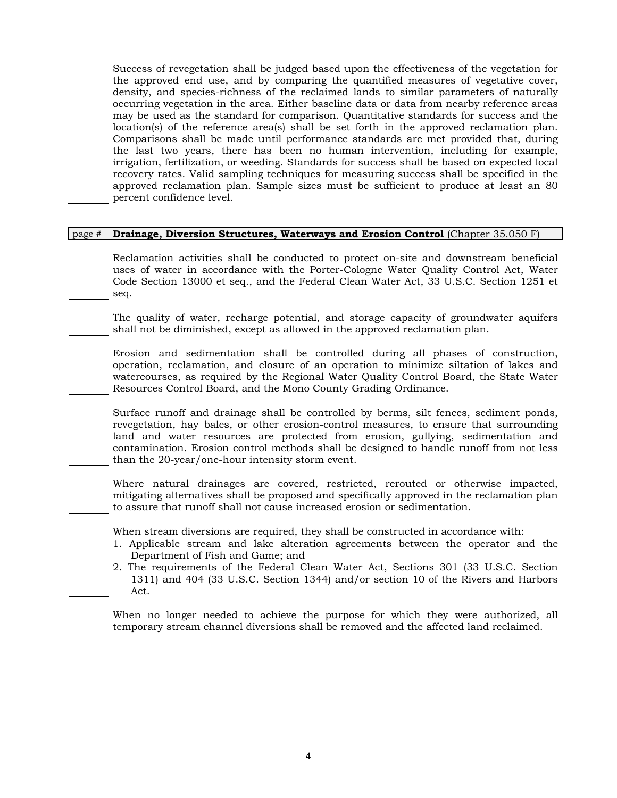Success of revegetation shall be judged based upon the effectiveness of the vegetation for the approved end use, and by comparing the quantified measures of vegetative cover, density, and species-richness of the reclaimed lands to similar parameters of naturally occurring vegetation in the area. Either baseline data or data from nearby reference areas may be used as the standard for comparison. Quantitative standards for success and the location(s) of the reference area(s) shall be set forth in the approved reclamation plan. Comparisons shall be made until performance standards are met provided that, during the last two years, there has been no human intervention, including for example, irrigation, fertilization, or weeding. Standards for success shall be based on expected local recovery rates. Valid sampling techniques for measuring success shall be specified in the approved reclamation plan. Sample sizes must be sufficient to produce at least an 80 percent confidence level.

#### page # **Drainage, Diversion Structures, Waterways and Erosion Control** (Chapter 35.050 F)

Reclamation activities shall be conducted to protect on-site and downstream beneficial uses of water in accordance with the Porter-Cologne Water Quality Control Act, Water Code Section 13000 et seq., and the Federal Clean Water Act, 33 U.S.C. Section 1251 et seq.

The quality of water, recharge potential, and storage capacity of groundwater aquifers shall not be diminished, except as allowed in the approved reclamation plan.

Erosion and sedimentation shall be controlled during all phases of construction, operation, reclamation, and closure of an operation to minimize siltation of lakes and watercourses, as required by the Regional Water Quality Control Board, the State Water Resources Control Board, and the Mono County Grading Ordinance.

Surface runoff and drainage shall be controlled by berms, silt fences, sediment ponds, revegetation, hay bales, or other erosion-control measures, to ensure that surrounding land and water resources are protected from erosion, gullying, sedimentation and contamination. Erosion control methods shall be designed to handle runoff from not less than the 20-year/one-hour intensity storm event.

Where natural drainages are covered, restricted, rerouted or otherwise impacted, mitigating alternatives shall be proposed and specifically approved in the reclamation plan to assure that runoff shall not cause increased erosion or sedimentation.

When stream diversions are required, they shall be constructed in accordance with:

- 1. Applicable stream and lake alteration agreements between the operator and the Department of Fish and Game; and
- 2. The requirements of the Federal Clean Water Act, Sections 301 (33 U.S.C. Section 1311) and 404 (33 U.S.C. Section 1344) and/or section 10 of the Rivers and Harbors Act.

When no longer needed to achieve the purpose for which they were authorized, all temporary stream channel diversions shall be removed and the affected land reclaimed.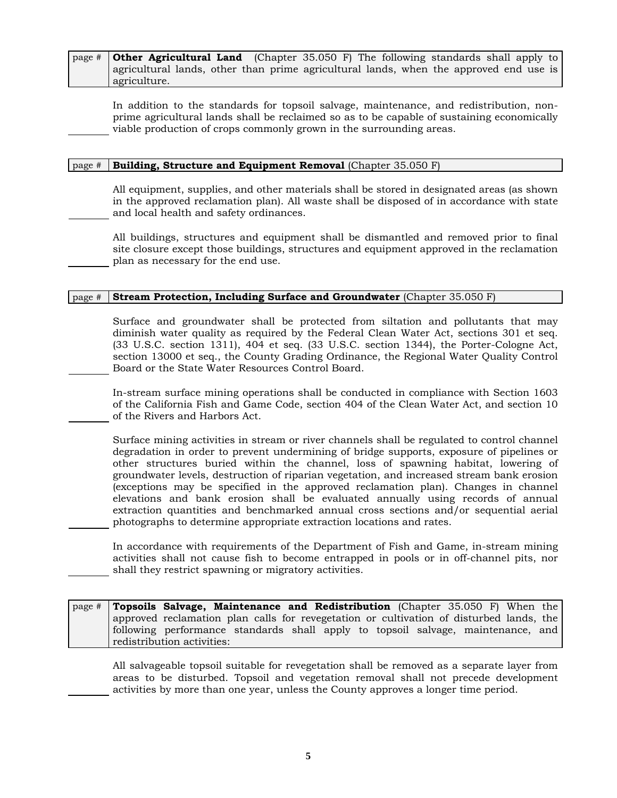page # **Other Agricultural Land** (Chapter 35.050 F) The following standards shall apply to agricultural lands, other than prime agricultural lands, when the approved end use is agriculture.

In addition to the standards for topsoil salvage, maintenance, and redistribution, nonprime agricultural lands shall be reclaimed so as to be capable of sustaining economically viable production of crops commonly grown in the surrounding areas.

#### page # **Building, Structure and Equipment Removal** (Chapter 35.050 F)

All equipment, supplies, and other materials shall be stored in designated areas (as shown in the approved reclamation plan). All waste shall be disposed of in accordance with state and local health and safety ordinances.

All buildings, structures and equipment shall be dismantled and removed prior to final site closure except those buildings, structures and equipment approved in the reclamation plan as necessary for the end use.

#### page # **Stream Protection, Including Surface and Groundwater** (Chapter 35.050 F)

Surface and groundwater shall be protected from siltation and pollutants that may diminish water quality as required by the Federal Clean Water Act, sections 301 et seq. (33 U.S.C. section 1311), 404 et seq. (33 U.S.C. section 1344), the Porter-Cologne Act, section 13000 et seq., the County Grading Ordinance, the Regional Water Quality Control Board or the State Water Resources Control Board.

In-stream surface mining operations shall be conducted in compliance with Section 1603 of the California Fish and Game Code, section 404 of the Clean Water Act, and section 10 of the Rivers and Harbors Act.

Surface mining activities in stream or river channels shall be regulated to control channel degradation in order to prevent undermining of bridge supports, exposure of pipelines or other structures buried within the channel, loss of spawning habitat, lowering of groundwater levels, destruction of riparian vegetation, and increased stream bank erosion (exceptions may be specified in the approved reclamation plan). Changes in channel elevations and bank erosion shall be evaluated annually using records of annual extraction quantities and benchmarked annual cross sections and/or sequential aerial photographs to determine appropriate extraction locations and rates.

In accordance with requirements of the Department of Fish and Game, in-stream mining activities shall not cause fish to become entrapped in pools or in off-channel pits, nor shall they restrict spawning or migratory activities.

page # **Topsoils Salvage, Maintenance and Redistribution** (Chapter 35.050 F) When the approved reclamation plan calls for revegetation or cultivation of disturbed lands, the following performance standards shall apply to topsoil salvage, maintenance, and redistribution activities:

All salvageable topsoil suitable for revegetation shall be removed as a separate layer from areas to be disturbed. Topsoil and vegetation removal shall not precede development activities by more than one year, unless the County approves a longer time period.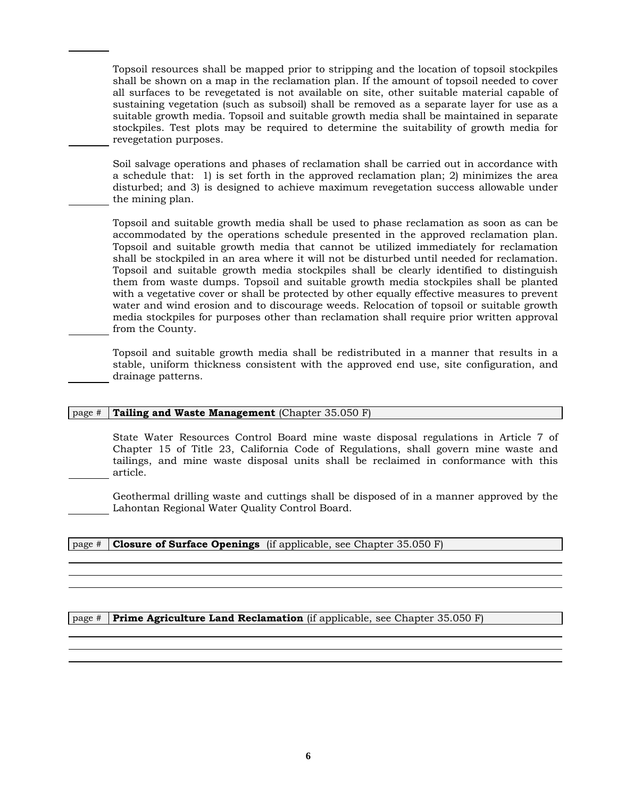Topsoil resources shall be mapped prior to stripping and the location of topsoil stockpiles shall be shown on a map in the reclamation plan. If the amount of topsoil needed to cover all surfaces to be revegetated is not available on site, other suitable material capable of sustaining vegetation (such as subsoil) shall be removed as a separate layer for use as a suitable growth media. Topsoil and suitable growth media shall be maintained in separate stockpiles. Test plots may be required to determine the suitability of growth media for revegetation purposes.

Soil salvage operations and phases of reclamation shall be carried out in accordance with a schedule that: 1) is set forth in the approved reclamation plan; 2) minimizes the area disturbed; and 3) is designed to achieve maximum revegetation success allowable under the mining plan.

Topsoil and suitable growth media shall be used to phase reclamation as soon as can be accommodated by the operations schedule presented in the approved reclamation plan. Topsoil and suitable growth media that cannot be utilized immediately for reclamation shall be stockpiled in an area where it will not be disturbed until needed for reclamation. Topsoil and suitable growth media stockpiles shall be clearly identified to distinguish them from waste dumps. Topsoil and suitable growth media stockpiles shall be planted with a vegetative cover or shall be protected by other equally effective measures to prevent water and wind erosion and to discourage weeds. Relocation of topsoil or suitable growth media stockpiles for purposes other than reclamation shall require prior written approval from the County.

Topsoil and suitable growth media shall be redistributed in a manner that results in a stable, uniform thickness consistent with the approved end use, site configuration, and drainage patterns.

#### page # **Tailing and Waste Management** (Chapter 35.050 F)

State Water Resources Control Board mine waste disposal regulations in Article 7 of Chapter 15 of Title 23, California Code of Regulations, shall govern mine waste and tailings, and mine waste disposal units shall be reclaimed in conformance with this article.

Geothermal drilling waste and cuttings shall be disposed of in a manner approved by the Lahontan Regional Water Quality Control Board.

#### page # **Closure of Surface Openings** (if applicable, see Chapter 35.050 F)

page # **Prime Agriculture Land Reclamation** (if applicable, see Chapter 35.050 F)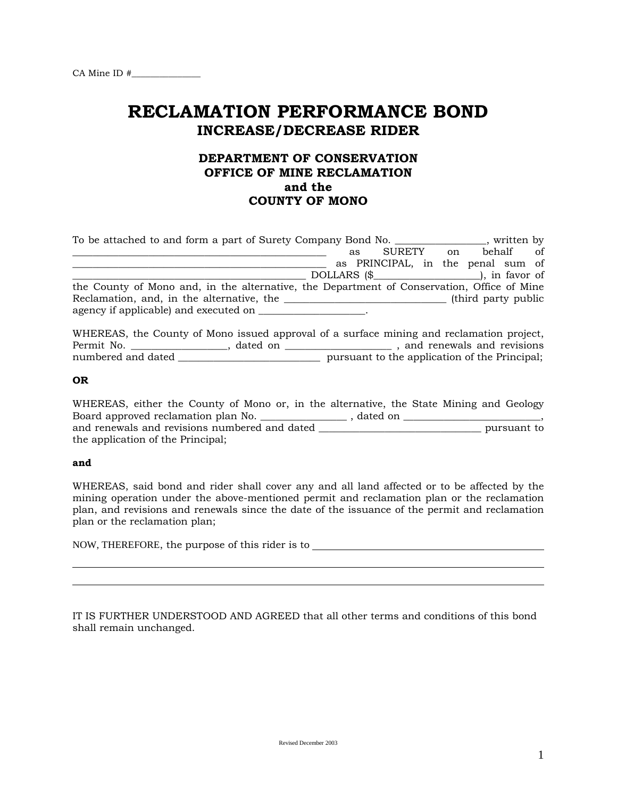# **RECLAMATION PERFORMANCE BOND INCREASE/DECREASE RIDER**

# **DEPARTMENT OF CONSERVATION OFFICE OF MINE RECLAMATION and the COUNTY OF MONO**

| To be attached to and form a part of Surety Company Bond No.                               |    |                                   |    |                      |           | stritten by |
|--------------------------------------------------------------------------------------------|----|-----------------------------------|----|----------------------|-----------|-------------|
|                                                                                            | as | SURETY                            | on |                      | behalf of |             |
|                                                                                            |    | as PRINCIPAL, in the penal sum of |    |                      |           |             |
|                                                                                            |    |                                   |    |                      |           |             |
| the County of Mono and, in the alternative, the Department of Conservation, Office of Mine |    |                                   |    |                      |           |             |
| Reclamation, and, in the alternative, the                                                  |    |                                   |    | (third party public) |           |             |
|                                                                                            |    |                                   |    |                      |           |             |

WHEREAS, the County of Mono issued approval of a surface mining and reclamation project, Permit No. \_\_\_\_\_\_\_\_\_\_\_\_\_\_\_\_\_\_\_, dated on \_\_\_\_\_\_\_\_\_\_\_\_\_\_\_\_\_\_\_\_\_ , and renewals and revisions numbered and dated \_\_\_\_\_\_\_\_\_\_\_\_\_\_\_\_\_\_\_\_\_\_\_\_\_\_\_\_\_\_\_ pursuant to the application of the Principal;

#### **OR**

| WHEREAS, either the County of Mono or, in the alternative, the State Mining and Geology |          |  |             |
|-----------------------------------------------------------------------------------------|----------|--|-------------|
| Board approved reclamation plan No.                                                     | dated on |  |             |
| and renewals and revisions numbered and dated                                           |          |  | pursuant to |
| the application of the Principal;                                                       |          |  |             |

#### **and**

WHEREAS, said bond and rider shall cover any and all land affected or to be affected by the mining operation under the above-mentioned permit and reclamation plan or the reclamation plan, and revisions and renewals since the date of the issuance of the permit and reclamation plan or the reclamation plan;

NOW, THEREFORE, the purpose of this rider is to

IT IS FURTHER UNDERSTOOD AND AGREED that all other terms and conditions of this bond shall remain unchanged.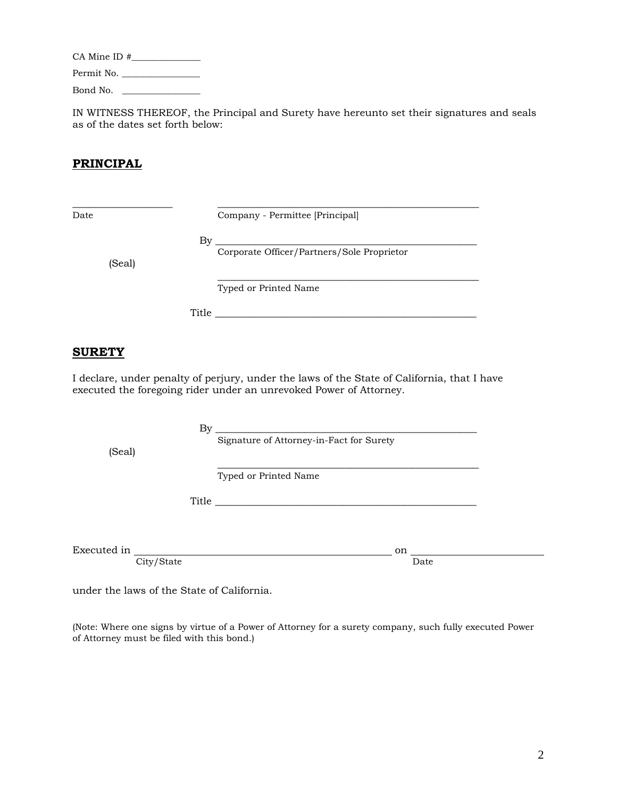CA Mine ID #\_\_\_\_\_\_\_\_\_\_\_\_\_\_\_ Permit No. \_\_\_\_\_\_\_\_\_\_\_\_\_\_\_\_\_ Bond No. \_\_\_\_\_\_\_\_\_\_\_\_\_\_\_\_\_

IN WITNESS THEREOF, the Principal and Surety have hereunto set their signatures and seals as of the dates set forth below:

# **PRINCIPAL**

| ł<br>11<br>٧<br>۰,<br>×<br>٠<br>× |  |
|-----------------------------------|--|
|-----------------------------------|--|

\_\_\_\_\_\_\_\_\_\_\_\_\_\_\_\_\_\_ \_\_\_\_\_\_\_\_\_\_\_\_\_\_\_\_\_\_\_\_\_\_\_\_\_\_\_\_\_\_\_\_\_\_\_\_\_\_\_\_\_\_\_\_\_\_\_ Company - Permittee [Principal]

(Seal)

By \_\_\_\_\_\_\_\_\_\_\_\_\_\_\_\_\_\_\_\_\_\_\_\_\_\_\_\_\_\_\_\_\_\_\_\_\_\_\_\_\_\_\_\_\_\_\_ Corporate Officer/Partners/Sole Proprietor

\_\_\_\_\_\_\_\_\_\_\_\_\_\_\_\_\_\_\_\_\_\_\_\_\_\_\_\_\_\_\_\_\_\_\_\_\_\_\_\_\_\_\_\_\_\_\_ Typed or Printed Name

Title  $\_\_$ 

## **SURETY**

I declare, under penalty of perjury, under the laws of the State of California, that I have executed the foregoing rider under an unrevoked Power of Attorney.

| (Seal)      |            | By    | Signature of Attorney-in-Fact for Surety |      |  |  |
|-------------|------------|-------|------------------------------------------|------|--|--|
|             |            |       | Typed or Printed Name                    |      |  |  |
|             |            | Title |                                          |      |  |  |
|             |            |       |                                          |      |  |  |
| Executed in |            |       |                                          | on   |  |  |
|             | City/State |       |                                          | Date |  |  |

under the laws of the State of California.

(Note: Where one signs by virtue of a Power of Attorney for a surety company, such fully executed Power of Attorney must be filed with this bond.)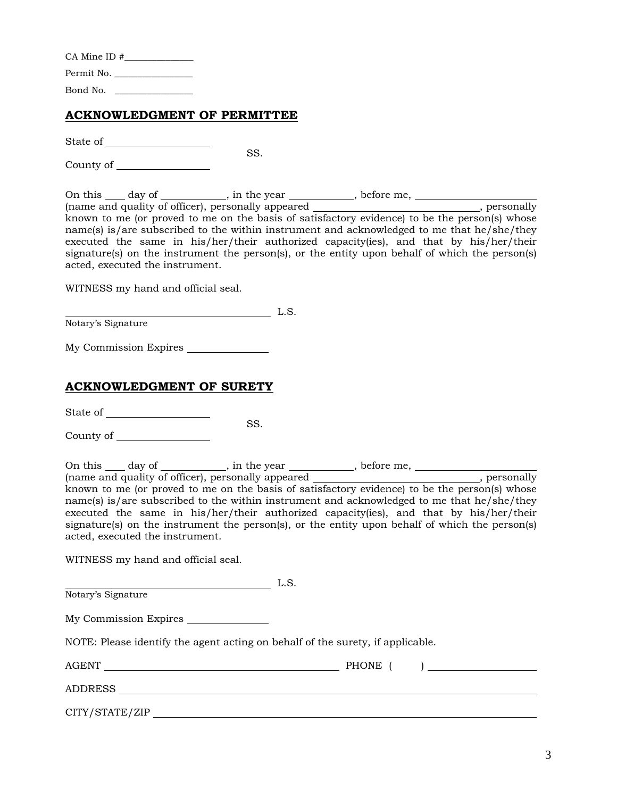| $CA$ Mine ID $#$ |  |
|------------------|--|
| Permit No.       |  |
| Bond No.         |  |

# **ACKNOWLEDGMENT OF PERMITTEE**

State of

County of

On this <u>ead</u> day of <u>each contribution</u>, in the year <u>contribution</u>, before me, (name and quality of officer), personally appeared \_\_\_\_\_\_\_\_\_\_\_\_\_\_\_\_\_\_\_\_\_\_\_\_\_\_\_\_\_, personally known to me (or proved to me on the basis of satisfactory evidence) to be the person(s) whose name(s) is/are subscribed to the within instrument and acknowledged to me that he/she/they executed the same in his/her/their authorized capacity(ies), and that by his/her/their signature(s) on the instrument the person(s), or the entity upon behalf of which the person(s) acted, executed the instrument.

SS.

WITNESS my hand and official seal.

 L.S. Notary's Signature

My Commission Expires

# **ACKNOWLEDGMENT OF SURETY**

State of

SS.

County of

On this day of strategies and the year strategies of  $\frac{1}{2}$ , before me, (name and quality of officer), personally appeared  $\blacksquare$ , personally known to me (or proved to me on the basis of satisfactory evidence) to be the person(s) whose name(s) is/are subscribed to the within instrument and acknowledged to me that he/she/they executed the same in his/her/their authorized capacity(ies), and that by his/her/their signature(s) on the instrument the person(s), or the entity upon behalf of which the person(s) acted, executed the instrument.

WITNESS my hand and official seal.

 L.S. Notary's Signature

My Commission Expires

NOTE: Please identify the agent acting on behalf of the surety, if applicable.

AGENT PHONE ( )

ADDRESS

CITY/STATE/ZIP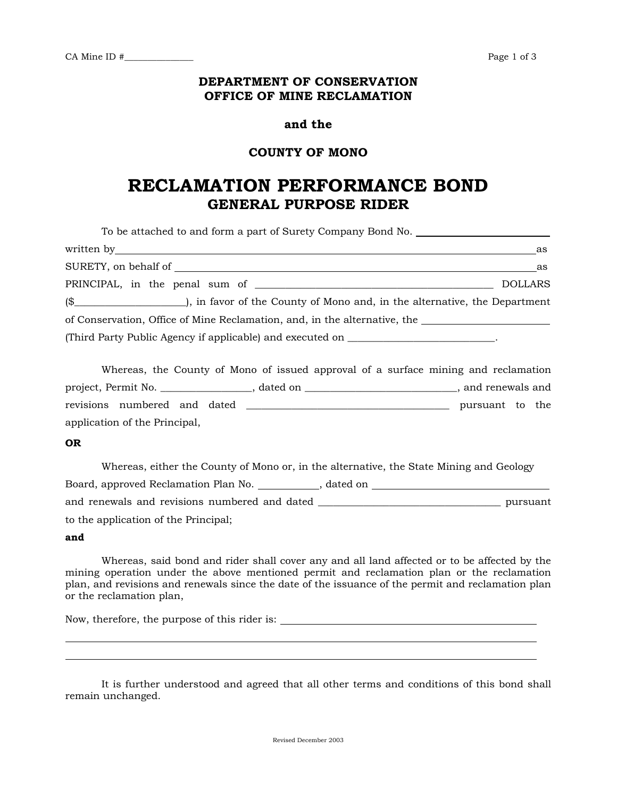## **DEPARTMENT OF CONSERVATION OFFICE OF MINE RECLAMATION**

### **and the**

## **COUNTY OF MONO**

# **RECLAMATION PERFORMANCE BOND GENERAL PURPOSE RIDER**

| To be attached to and form a part of Surety Company Bond No. ____________________                    |                |
|------------------------------------------------------------------------------------------------------|----------------|
|                                                                                                      | as             |
|                                                                                                      | as             |
|                                                                                                      | <b>DOLLARS</b> |
| (\$                                                                                                  |                |
| of Conservation, Office of Mine Reclamation, and, in the alternative, the __________________________ |                |
| (Third Party Public Agency if applicable) and executed on _______________________.                   |                |
|                                                                                                      |                |
| Whereas, the County of Mono of issued approval of a surface mining and reclamation                   |                |

| project, Permit No. |                               |  | dated on | and renewals and |  |
|---------------------|-------------------------------|--|----------|------------------|--|
|                     | revisions numbered and dated  |  |          | pursuant to the  |  |
|                     | application of the Principal, |  |          |                  |  |

#### **OR**

| Whereas, either the County of Mono or, in the alternative, the State Mining and Geology |          |
|-----------------------------------------------------------------------------------------|----------|
| Board, approved Reclamation Plan No.<br>, dated on                                      |          |
| and renewals and revisions numbered and dated                                           | pursuant |
| to the application of the Principal;                                                    |          |

**and**

Whereas, said bond and rider shall cover any and all land affected or to be affected by the mining operation under the above mentioned permit and reclamation plan or the reclamation plan, and revisions and renewals since the date of the issuance of the permit and reclamation plan or the reclamation plan,

Now, therefore, the purpose of this rider is:

It is further understood and agreed that all other terms and conditions of this bond shall remain unchanged.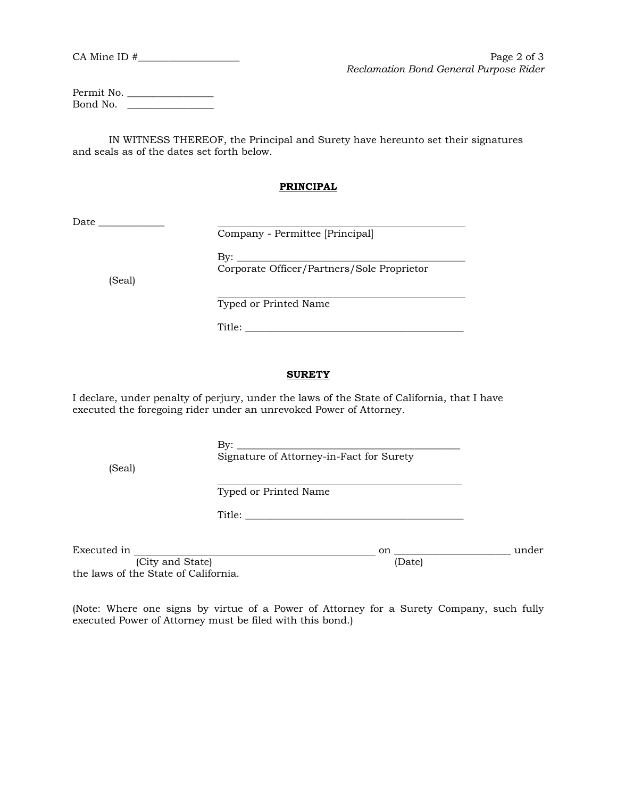CA Mine ID  $\#$  Page 2 of 3 *Reclamation Bond General Purpose Rider*

Permit No. \_\_\_\_\_\_\_\_\_\_\_\_\_\_\_\_\_ Bond No. \_\_\_\_\_\_\_\_\_\_\_\_\_\_\_\_\_

IN WITNESS THEREOF, the Principal and Surety have hereunto set their signatures and seals as of the dates set forth below.

#### **PRINCIPAL**

Date \_\_\_\_\_\_\_\_\_\_\_\_\_

Company - Permittee [Principal]

(Seal)

By: \_\_\_\_\_\_\_\_\_\_\_\_\_\_\_\_\_\_\_\_\_\_\_\_\_\_\_\_\_\_\_\_\_\_\_\_\_\_\_\_\_\_\_\_\_ Corporate Officer/Partners/Sole Proprietor

 $\overline{a}$ Typed or Printed Name

Title: \_\_\_\_\_\_\_\_\_\_\_\_\_\_\_\_\_\_\_\_\_\_\_\_\_\_\_\_\_\_\_\_\_\_\_\_\_\_\_\_\_\_\_

#### **SURETY**

I declare, under penalty of perjury, under the laws of the State of California, that I have executed the foregoing rider under an unrevoked Power of Attorney.

 $\rm\,By:$ 

(Seal)

Signature of Attorney-in-Fact for Surety

 $\ddot{\phantom{a}}$ Typed or Printed Name

Title: \_\_\_\_\_\_\_\_\_\_\_\_\_\_\_\_\_\_\_\_\_\_\_\_\_\_\_\_\_\_\_\_\_\_\_\_\_\_\_\_\_\_\_

Executed in on \_\_\_\_\_\_\_\_\_\_\_\_\_\_\_\_\_\_\_\_\_\_\_ under (City and State) (Date)

the laws of the State of California.

(Note: Where one signs by virtue of a Power of Attorney for a Surety Company, such fully executed Power of Attorney must be filed with this bond.)